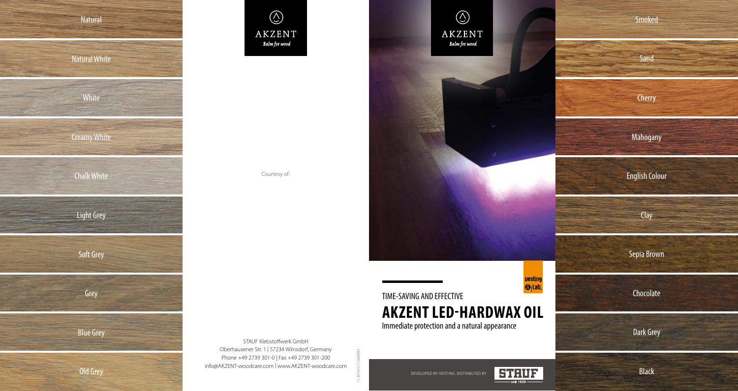



Courtesy of:

 $\circledS$ **AKZENT** Balm for wood

TIME-SAVING AND EFFECTIVE **AKZENT LED-HARDWAX OIL** Immediate protection and a natural appearance

STAUF Klebstoffwerk GmbH Oberhausener Str. 1 | 57234 Wilnsdorf, Germany Phone +49 2739 301-0 | Fax +49 2739 301-200 info@AKZENT-woodcare.com | www.AKZENT-woodcare.com

11.2019/V1/1.000/BH



**vesting**  $\bigcirc$  (lab.

Sand Cherry Mahogany English Colour Clay Sepia Brown Chocolate Dark Grey

Smoked